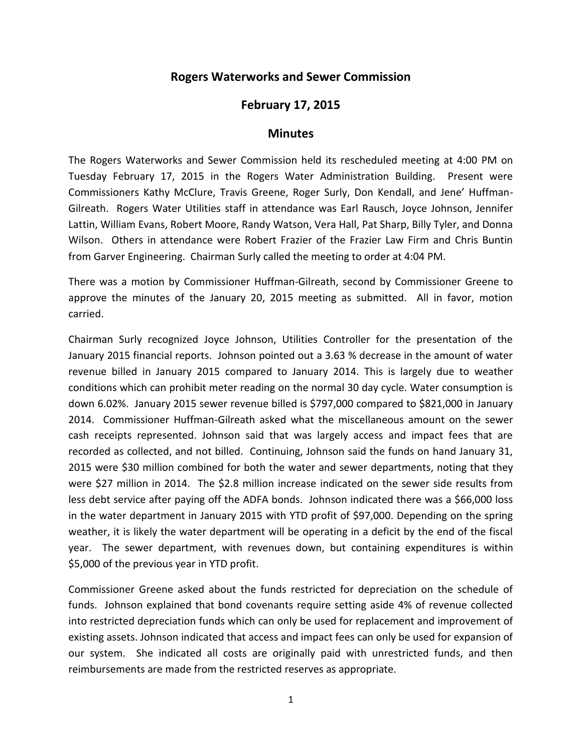## **Rogers Waterworks and Sewer Commission**

## **February 17, 2015**

## **Minutes**

The Rogers Waterworks and Sewer Commission held its rescheduled meeting at 4:00 PM on Tuesday February 17, 2015 in the Rogers Water Administration Building. Present were Commissioners Kathy McClure, Travis Greene, Roger Surly, Don Kendall, and Jene' Huffman-Gilreath. Rogers Water Utilities staff in attendance was Earl Rausch, Joyce Johnson, Jennifer Lattin, William Evans, Robert Moore, Randy Watson, Vera Hall, Pat Sharp, Billy Tyler, and Donna Wilson. Others in attendance were Robert Frazier of the Frazier Law Firm and Chris Buntin from Garver Engineering. Chairman Surly called the meeting to order at 4:04 PM.

There was a motion by Commissioner Huffman-Gilreath, second by Commissioner Greene to approve the minutes of the January 20, 2015 meeting as submitted. All in favor, motion carried.

Chairman Surly recognized Joyce Johnson, Utilities Controller for the presentation of the January 2015 financial reports. Johnson pointed out a 3.63 % decrease in the amount of water revenue billed in January 2015 compared to January 2014. This is largely due to weather conditions which can prohibit meter reading on the normal 30 day cycle. Water consumption is down 6.02%. January 2015 sewer revenue billed is \$797,000 compared to \$821,000 in January 2014. Commissioner Huffman-Gilreath asked what the miscellaneous amount on the sewer cash receipts represented. Johnson said that was largely access and impact fees that are recorded as collected, and not billed. Continuing, Johnson said the funds on hand January 31, 2015 were \$30 million combined for both the water and sewer departments, noting that they were \$27 million in 2014. The \$2.8 million increase indicated on the sewer side results from less debt service after paying off the ADFA bonds. Johnson indicated there was a \$66,000 loss in the water department in January 2015 with YTD profit of \$97,000. Depending on the spring weather, it is likely the water department will be operating in a deficit by the end of the fiscal year. The sewer department, with revenues down, but containing expenditures is within \$5,000 of the previous year in YTD profit.

Commissioner Greene asked about the funds restricted for depreciation on the schedule of funds. Johnson explained that bond covenants require setting aside 4% of revenue collected into restricted depreciation funds which can only be used for replacement and improvement of existing assets. Johnson indicated that access and impact fees can only be used for expansion of our system. She indicated all costs are originally paid with unrestricted funds, and then reimbursements are made from the restricted reserves as appropriate.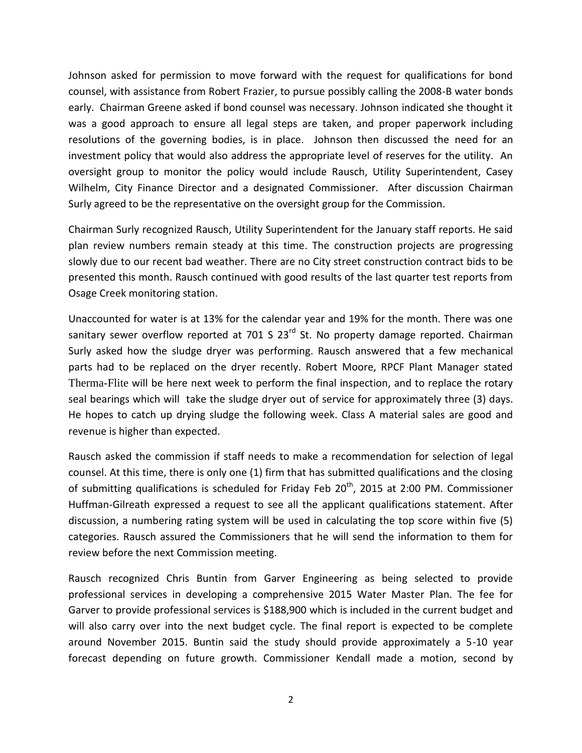Johnson asked for permission to move forward with the request for qualifications for bond counsel, with assistance from Robert Frazier, to pursue possibly calling the 2008-B water bonds early. Chairman Greene asked if bond counsel was necessary. Johnson indicated she thought it was a good approach to ensure all legal steps are taken, and proper paperwork including resolutions of the governing bodies, is in place. Johnson then discussed the need for an investment policy that would also address the appropriate level of reserves for the utility. An oversight group to monitor the policy would include Rausch, Utility Superintendent, Casey Wilhelm, City Finance Director and a designated Commissioner. After discussion Chairman Surly agreed to be the representative on the oversight group for the Commission.

Chairman Surly recognized Rausch, Utility Superintendent for the January staff reports. He said plan review numbers remain steady at this time. The construction projects are progressing slowly due to our recent bad weather. There are no City street construction contract bids to be presented this month. Rausch continued with good results of the last quarter test reports from Osage Creek monitoring station.

Unaccounted for water is at 13% for the calendar year and 19% for the month. There was one sanitary sewer overflow reported at 701 S 23<sup>rd</sup> St. No property damage reported. Chairman Surly asked how the sludge dryer was performing. Rausch answered that a few mechanical parts had to be replaced on the dryer recently. Robert Moore, RPCF Plant Manager stated Therma-Flite will be here next week to perform the final inspection, and to replace the rotary seal bearings which will take the sludge dryer out of service for approximately three (3) days. He hopes to catch up drying sludge the following week. Class A material sales are good and revenue is higher than expected.

Rausch asked the commission if staff needs to make a recommendation for selection of legal counsel. At this time, there is only one (1) firm that has submitted qualifications and the closing of submitting qualifications is scheduled for Friday Feb  $20<sup>th</sup>$ , 2015 at 2:00 PM. Commissioner Huffman-Gilreath expressed a request to see all the applicant qualifications statement. After discussion, a numbering rating system will be used in calculating the top score within five (5) categories. Rausch assured the Commissioners that he will send the information to them for review before the next Commission meeting.

Rausch recognized Chris Buntin from Garver Engineering as being selected to provide professional services in developing a comprehensive 2015 Water Master Plan. The fee for Garver to provide professional services is \$188,900 which is included in the current budget and will also carry over into the next budget cycle. The final report is expected to be complete around November 2015. Buntin said the study should provide approximately a 5-10 year forecast depending on future growth. Commissioner Kendall made a motion, second by